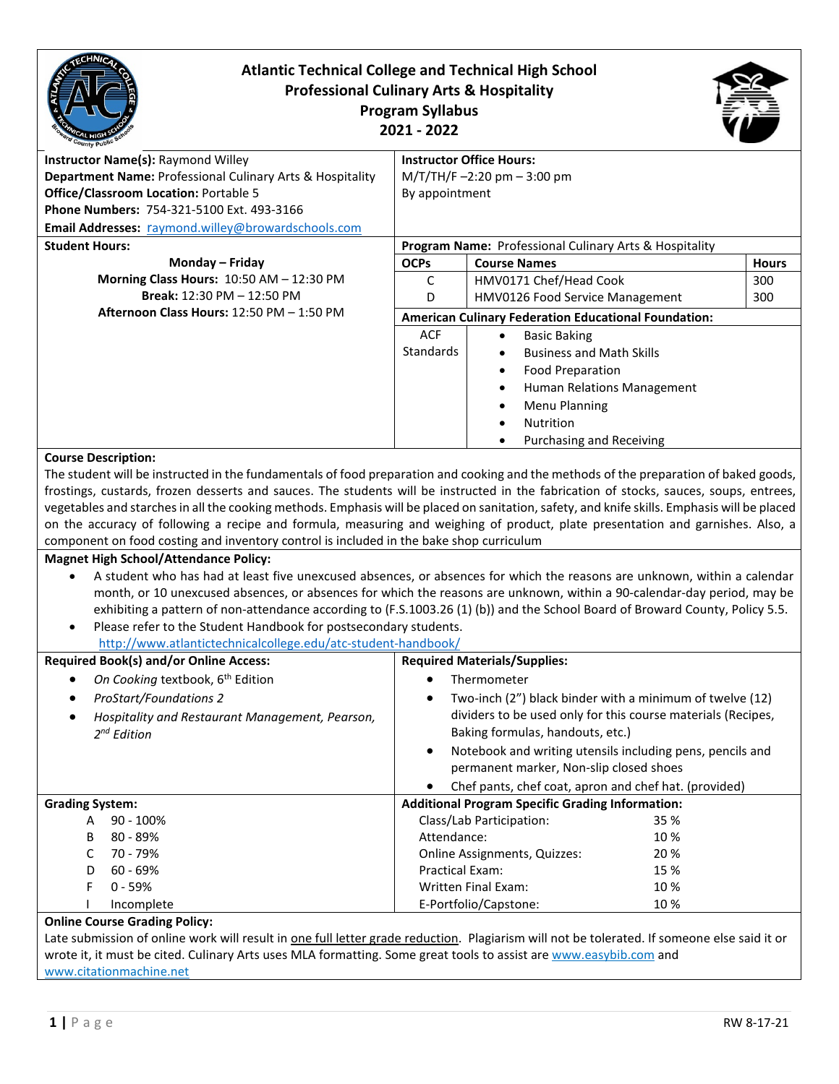| <b>Atlantic Technical College and Technical High School</b><br><b>Professional Culinary Arts &amp; Hospitality</b><br><b>Program Syllabus</b><br>2021 - 2022                                                                                                                                                                                                                                                                                                                                                                                                                                                                                                                                                                                                                                                       |                                                                                      |                                                                                                                                                                                                                                                                                                                                              |              |
|--------------------------------------------------------------------------------------------------------------------------------------------------------------------------------------------------------------------------------------------------------------------------------------------------------------------------------------------------------------------------------------------------------------------------------------------------------------------------------------------------------------------------------------------------------------------------------------------------------------------------------------------------------------------------------------------------------------------------------------------------------------------------------------------------------------------|--------------------------------------------------------------------------------------|----------------------------------------------------------------------------------------------------------------------------------------------------------------------------------------------------------------------------------------------------------------------------------------------------------------------------------------------|--------------|
| Instructor Name(s): Raymond Willey<br>Department Name: Professional Culinary Arts & Hospitality<br><b>Office/Classroom Location: Portable 5</b><br>Phone Numbers: 754-321-5100 Ext. 493-3166<br>Email Addresses: raymond.willey@browardschools.com                                                                                                                                                                                                                                                                                                                                                                                                                                                                                                                                                                 | <b>Instructor Office Hours:</b><br>$M/T/TH/F - 2:20$ pm $-3:00$ pm<br>By appointment |                                                                                                                                                                                                                                                                                                                                              |              |
| <b>Student Hours:</b>                                                                                                                                                                                                                                                                                                                                                                                                                                                                                                                                                                                                                                                                                                                                                                                              | Program Name: Professional Culinary Arts & Hospitality                               |                                                                                                                                                                                                                                                                                                                                              |              |
| Monday - Friday                                                                                                                                                                                                                                                                                                                                                                                                                                                                                                                                                                                                                                                                                                                                                                                                    | <b>OCPs</b>                                                                          | <b>Course Names</b>                                                                                                                                                                                                                                                                                                                          | <b>Hours</b> |
| Morning Class Hours: 10:50 AM - 12:30 PM<br>Break: 12:30 PM - 12:50 PM                                                                                                                                                                                                                                                                                                                                                                                                                                                                                                                                                                                                                                                                                                                                             | C<br>D                                                                               | HMV0171 Chef/Head Cook<br>HMV0126 Food Service Management                                                                                                                                                                                                                                                                                    | 300<br>300   |
| Afternoon Class Hours: 12:50 PM - 1:50 PM                                                                                                                                                                                                                                                                                                                                                                                                                                                                                                                                                                                                                                                                                                                                                                          |                                                                                      | <b>American Culinary Federation Educational Foundation:</b>                                                                                                                                                                                                                                                                                  |              |
|                                                                                                                                                                                                                                                                                                                                                                                                                                                                                                                                                                                                                                                                                                                                                                                                                    | <b>ACF</b><br><b>Standards</b>                                                       | <b>Basic Baking</b><br><b>Business and Math Skills</b><br><b>Food Preparation</b><br>$\bullet$<br>Human Relations Management<br>Menu Planning<br>Nutrition<br>Purchasing and Receiving                                                                                                                                                       |              |
| vegetables and starches in all the cooking methods. Emphasis will be placed on sanitation, safety, and knife skills. Emphasis will be placed<br>on the accuracy of following a recipe and formula, measuring and weighing of product, plate presentation and garnishes. Also, a<br>component on food costing and inventory control is included in the bake shop curriculum<br><b>Magnet High School/Attendance Policy:</b><br>A student who has had at least five unexcused absences, or absences for which the reasons are unknown, within a calendar<br>month, or 10 unexcused absences, or absences for which the reasons are unknown, within a 90-calendar-day period, may be<br>exhibiting a pattern of non-attendance according to (F.S.1003.26 (1) (b)) and the School Board of Broward County, Policy 5.5. |                                                                                      |                                                                                                                                                                                                                                                                                                                                              |              |
| Please refer to the Student Handbook for postsecondary students.<br>$\bullet$<br>http://www.atlantictechnicalcollege.edu/atc-student-handbook/                                                                                                                                                                                                                                                                                                                                                                                                                                                                                                                                                                                                                                                                     |                                                                                      |                                                                                                                                                                                                                                                                                                                                              |              |
| <b>Required Book(s) and/or Online Access:</b>                                                                                                                                                                                                                                                                                                                                                                                                                                                                                                                                                                                                                                                                                                                                                                      | <b>Required Materials/Supplies:</b>                                                  |                                                                                                                                                                                                                                                                                                                                              |              |
| On Cooking textbook, 6 <sup>th</sup> Edition<br><b>ProStart/Foundations 2</b><br>Hospitality and Restaurant Management, Pearson,<br>$2^{nd}$ Edition                                                                                                                                                                                                                                                                                                                                                                                                                                                                                                                                                                                                                                                               | $\bullet$                                                                            | Thermometer<br>Two-inch (2") black binder with a minimum of twelve (12)<br>dividers to be used only for this course materials (Recipes,<br>Baking formulas, handouts, etc.)<br>Notebook and writing utensils including pens, pencils and<br>permanent marker, Non-slip closed shoes<br>Chef pants, chef coat, apron and chef hat. (provided) |              |
| <b>Grading System:</b>                                                                                                                                                                                                                                                                                                                                                                                                                                                                                                                                                                                                                                                                                                                                                                                             |                                                                                      | <b>Additional Program Specific Grading Information:</b>                                                                                                                                                                                                                                                                                      |              |
| $90 - 100%$<br>A<br>80 - 89%<br>В<br>70 - 79%<br>C<br>60 - 69%<br>D<br>F<br>$0 - 59%$<br>Incomplete                                                                                                                                                                                                                                                                                                                                                                                                                                                                                                                                                                                                                                                                                                                | Attendance:<br><b>Practical Exam:</b>                                                | Class/Lab Participation:<br>35 %<br>10%<br>20%<br>Online Assignments, Quizzes:<br>15 %<br><b>Written Final Exam:</b><br>10%<br>E-Portfolio/Capstone:<br>10%                                                                                                                                                                                  |              |
| <b>Online Course Grading Policy:</b><br>Late submission of online work will result in one full letter grade reduction. Plagiarism will not be tolerated. If someone else said it or<br>wrote it, it must be cited. Culinary Arts uses MLA formatting. Some great tools to assist are www.easybib.com and<br>www.citationmachine.net                                                                                                                                                                                                                                                                                                                                                                                                                                                                                |                                                                                      |                                                                                                                                                                                                                                                                                                                                              |              |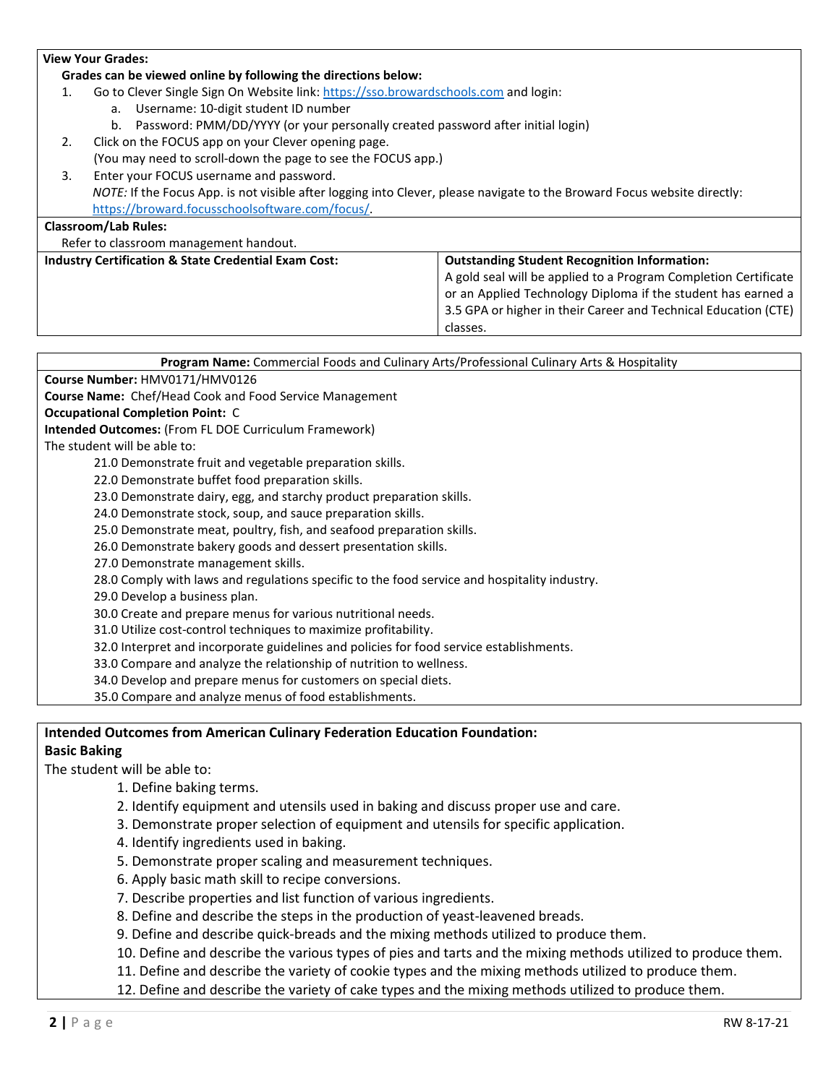# **View Your Grades: Grades can be viewed online by following the directions below:** 1. Go to Clever Single Sign On Website link: [https://sso.browardschools.com](https://sso.browardschools.com/) and login: a. Username: 10-digit student ID number b. Password: PMM/DD/YYYY (or your personally created password after initial login) 2. Click on the FOCUS app on your Clever opening page. (You may need to scroll-down the page to see the FOCUS app.) 3. Enter your FOCUS username and password. *NOTE:* If the Focus App. is not visible after logging into Clever, please navigate to the Broward Focus website directly: [https://broward.focusschoolsoftware.com/focus/.](https://broward.focusschoolsoftware.com/focus/) **Classroom/Lab Rules:** Refer to classroom management handout. **Industry Certification & State Credential Exam Cost: Outstanding Student Recognition Information:**  A gold seal will be applied to a Program Completion Certificate or an Applied Technology Diploma if the student has earned a 3.5 GPA or higher in their Career and Technical Education (CTE) classes. **Program Name:** Commercial Foods and Culinary Arts/Professional Culinary Arts & Hospitality **Course Number:** HMV0171/HMV0126 **Course Name:** Chef/Head Cook and Food Service Management **Occupational Completion Point:** C **Intended Outcomes:** (From FL DOE Curriculum Framework)

The student will be able to:

21.0 Demonstrate fruit and vegetable preparation skills.

22.0 Demonstrate buffet food preparation skills.

23.0 Demonstrate dairy, egg, and starchy product preparation skills.

24.0 Demonstrate stock, soup, and sauce preparation skills.

25.0 Demonstrate meat, poultry, fish, and seafood preparation skills.

26.0 Demonstrate bakery goods and dessert presentation skills.

27.0 Demonstrate management skills.

28.0 Comply with laws and regulations specific to the food service and hospitality industry.

29.0 Develop a business plan.

30.0 Create and prepare menus for various nutritional needs.

31.0 Utilize cost-control techniques to maximize profitability.

32.0 Interpret and incorporate guidelines and policies for food service establishments.

33.0 Compare and analyze the relationship of nutrition to wellness.

34.0 Develop and prepare menus for customers on special diets.

35.0 Compare and analyze menus of food establishments.

## **Intended Outcomes from American Culinary Federation Education Foundation:**

#### **Basic Baking**

The student will be able to:

1. Define baking terms.

2. Identify equipment and utensils used in baking and discuss proper use and care.

- 3. Demonstrate proper selection of equipment and utensils for specific application.
- 4. Identify ingredients used in baking.
- 5. Demonstrate proper scaling and measurement techniques.
- 6. Apply basic math skill to recipe conversions.
- 7. Describe properties and list function of various ingredients.
- 8. Define and describe the steps in the production of yeast-leavened breads.
- 9. Define and describe quick-breads and the mixing methods utilized to produce them.
- 10. Define and describe the various types of pies and tarts and the mixing methods utilized to produce them.
- 11. Define and describe the variety of cookie types and the mixing methods utilized to produce them.
- 12. Define and describe the variety of cake types and the mixing methods utilized to produce them.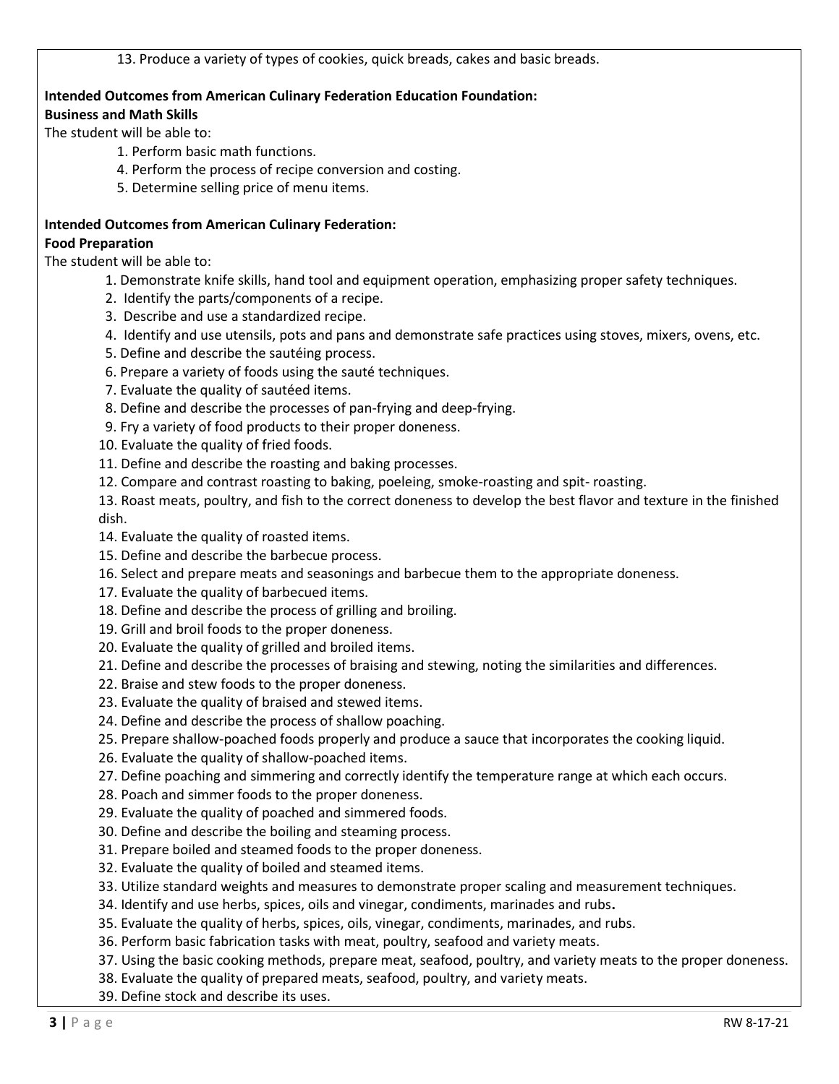13. Produce a variety of types of cookies, quick breads, cakes and basic breads.

# **Intended Outcomes from American Culinary Federation Education Foundation:**

## **Business and Math Skills**

The student will be able to:

- 1. Perform basic math functions.
- 4. Perform the process of recipe conversion and costing.
- 5. Determine selling price of menu items.
- **Intended Outcomes from American Culinary Federation: Food Preparation**

The student will be able to:

- 1. Demonstrate knife skills, hand tool and equipment operation, emphasizing proper safety techniques.
- 2. Identify the parts/components of a recipe.
- 3. Describe and use a standardized recipe.
- 4. Identify and use utensils, pots and pans and demonstrate safe practices using stoves, mixers, ovens, etc.
- 5. Define and describe the sautéing process.
- 6. Prepare a variety of foods using the sauté techniques.
- 7. Evaluate the quality of sautéed items.
- 8. Define and describe the processes of pan-frying and deep-frying.
- 9. Fry a variety of food products to their proper doneness.
- 10. Evaluate the quality of fried foods.
- 11. Define and describe the roasting and baking processes.
- 12. Compare and contrast roasting to baking, poeleing, smoke-roasting and spit- roasting.

13. Roast meats, poultry, and fish to the correct doneness to develop the best flavor and texture in the finished dish.

- 14. Evaluate the quality of roasted items.
- 15. Define and describe the barbecue process.
- 16. Select and prepare meats and seasonings and barbecue them to the appropriate doneness.
- 17. Evaluate the quality of barbecued items.
- 18. Define and describe the process of grilling and broiling.
- 19. Grill and broil foods to the proper doneness.
- 20. Evaluate the quality of grilled and broiled items.
- 21. Define and describe the processes of braising and stewing, noting the similarities and differences.
- 22. Braise and stew foods to the proper doneness.
- 23. Evaluate the quality of braised and stewed items.
- 24. Define and describe the process of shallow poaching.
- 25. Prepare shallow-poached foods properly and produce a sauce that incorporates the cooking liquid.
- 26. Evaluate the quality of shallow-poached items.
- 27. Define poaching and simmering and correctly identify the temperature range at which each occurs.
- 28. Poach and simmer foods to the proper doneness.
- 29. Evaluate the quality of poached and simmered foods.
- 30. Define and describe the boiling and steaming process.
- 31. Prepare boiled and steamed foods to the proper doneness.
- 32. Evaluate the quality of boiled and steamed items.
- 33. Utilize standard weights and measures to demonstrate proper scaling and measurement techniques.
- 34. Identify and use herbs, spices, oils and vinegar, condiments, marinades and rubs**.**
- 35. Evaluate the quality of herbs, spices, oils, vinegar, condiments, marinades, and rubs.
- 36. Perform basic fabrication tasks with meat, poultry, seafood and variety meats.
- 37. Using the basic cooking methods, prepare meat, seafood, poultry, and variety meats to the proper doneness.
- 38. Evaluate the quality of prepared meats, seafood, poultry, and variety meats.
- 39. Define stock and describe its uses.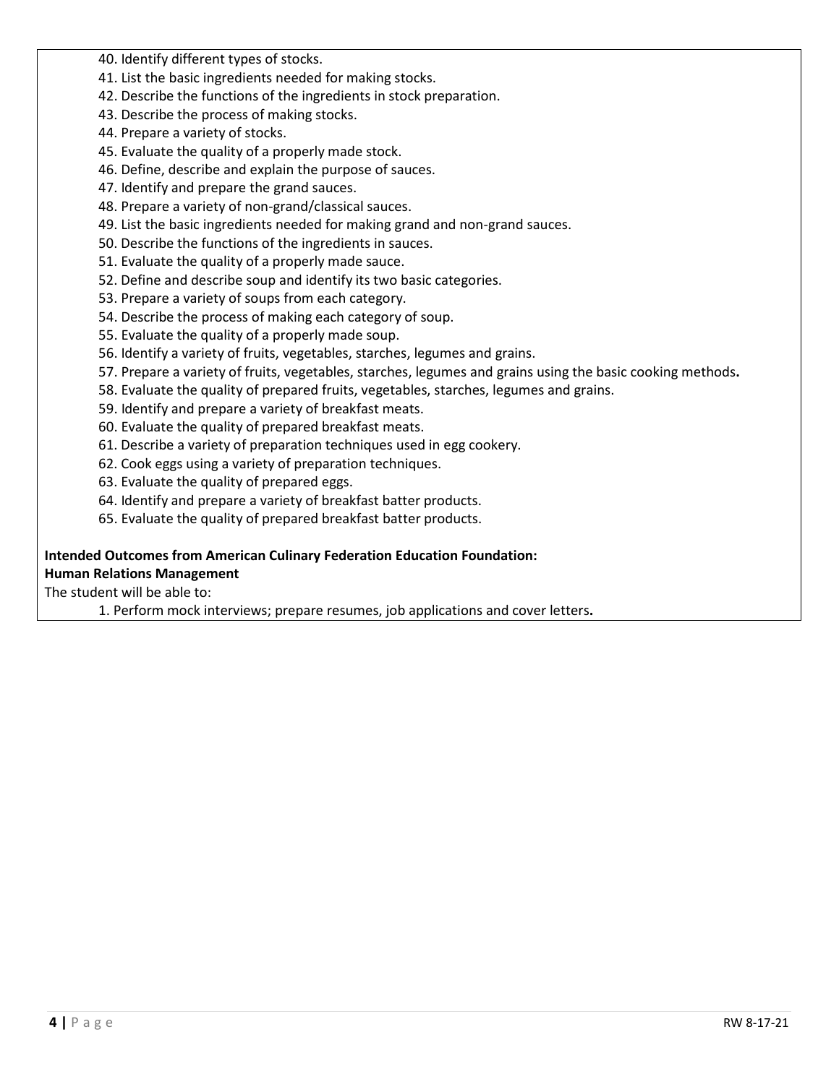40. Identify different types of stocks.

- 41. List the basic ingredients needed for making stocks.
- 42. Describe the functions of the ingredients in stock preparation.
- 43. Describe the process of making stocks.
- 44. Prepare a variety of stocks.
- 45. Evaluate the quality of a properly made stock.
- 46. Define, describe and explain the purpose of sauces.
- 47. Identify and prepare the grand sauces.
- 48. Prepare a variety of non-grand/classical sauces.
- 49. List the basic ingredients needed for making grand and non-grand sauces.
- 50. Describe the functions of the ingredients in sauces.
- 51. Evaluate the quality of a properly made sauce.
- 52. Define and describe soup and identify its two basic categories.
- 53. Prepare a variety of soups from each category.
- 54. Describe the process of making each category of soup.
- 55. Evaluate the quality of a properly made soup.
- 56. Identify a variety of fruits, vegetables, starches, legumes and grains.
- 57. Prepare a variety of fruits, vegetables, starches, legumes and grains using the basic cooking methods**.**
- 58. Evaluate the quality of prepared fruits, vegetables, starches, legumes and grains.
- 59. Identify and prepare a variety of breakfast meats.
- 60. Evaluate the quality of prepared breakfast meats.
- 61. Describe a variety of preparation techniques used in egg cookery.
- 62. Cook eggs using a variety of preparation techniques.
- 63. Evaluate the quality of prepared eggs.
- 64. Identify and prepare a variety of breakfast batter products.
- 65. Evaluate the quality of prepared breakfast batter products.

### **Intended Outcomes from American Culinary Federation Education Foundation: Human Relations Management**

The student will be able to:

1. Perform mock interviews; prepare resumes, job applications and cover letters**.**